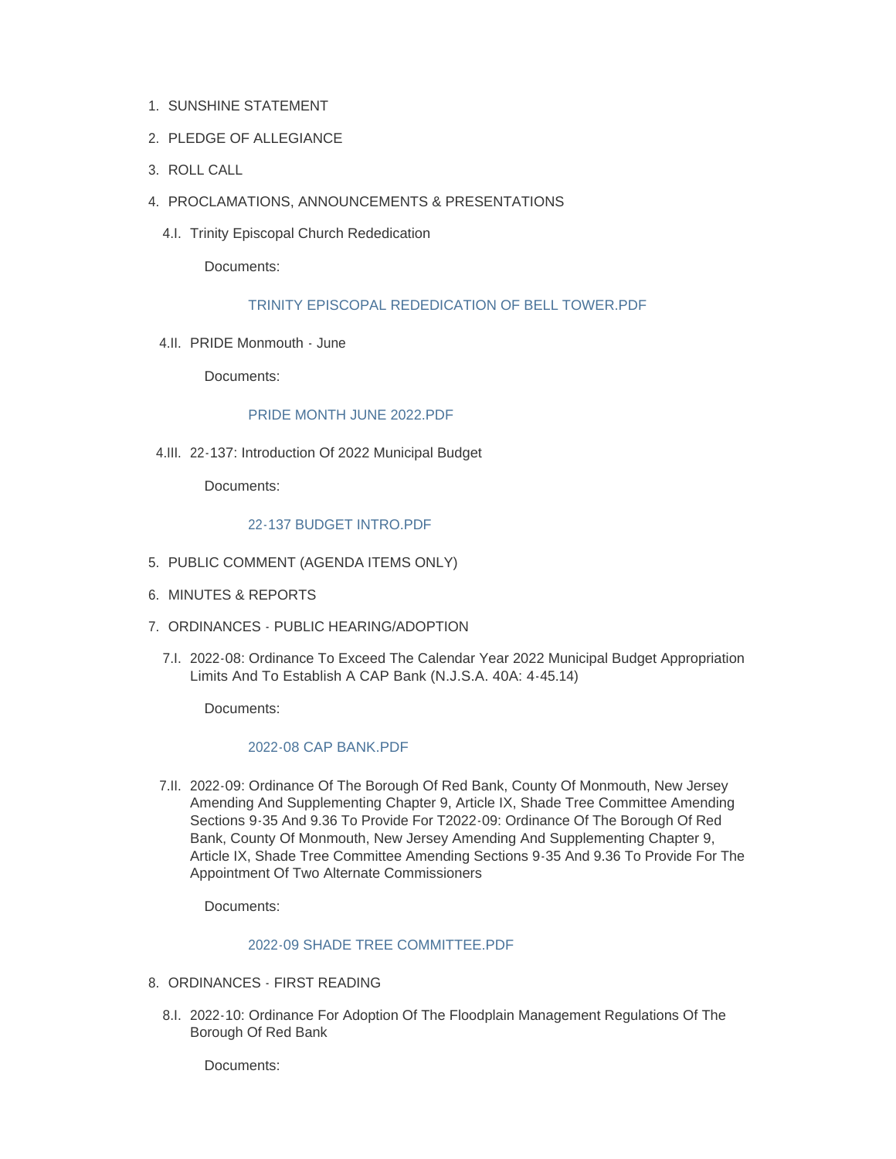- 1. SUNSHINE STATEMENT
- 2. PLEDGE OF ALLEGIANCE
- ROLL CALL 3.
- PROCLAMATIONS, ANNOUNCEMENTS & PRESENTATIONS 4.
	- 4.I. Trinity Episcopal Church Rededication

Documents:

# [TRINITY EPISCOPAL REDEDICATION OF BELL TOWER.PDF](http://www.redbanknj.org/AgendaCenter/ViewFile/Item/7584?fileID=20765)

4.II. PRIDE Monmouth - June

Documents:

# PRIDE MONTH JUNE 2022 PDE

22-137: Introduction Of 2022 Municipal Budget 4.III.

Documents:

# [22-137 BUDGET INTRO.PDF](http://www.redbanknj.org/AgendaCenter/ViewFile/Item/7586?fileID=20767)

- 5. PUBLIC COMMENT (AGENDA ITEMS ONLY)
- 6. MINUTES & REPORTS
- 7. ORDINANCES PUBLIC HEARING/ADOPTION
	- 7.I. 2022-08: Ordinance To Exceed The Calendar Year 2022 Municipal Budget Appropriation Limits And To Establish A CAP Bank (N.J.S.A. 40A: 4-45.14)

Documents:

#### [2022-08 CAP BANK.PDF](http://www.redbanknj.org/AgendaCenter/ViewFile/Item/7587?fileID=20768)

7.II. 2022-09: Ordinance Of The Borough Of Red Bank, County Of Monmouth, New Jersey Amending And Supplementing Chapter 9, Article IX, Shade Tree Committee Amending Sections 9-35 And 9.36 To Provide For T2022-09: Ordinance Of The Borough Of Red Bank, County Of Monmouth, New Jersey Amending And Supplementing Chapter 9, Article IX, Shade Tree Committee Amending Sections 9-35 And 9.36 To Provide For The Appointment Of Two Alternate Commissioners

Documents:

# [2022-09 SHADE TREE COMMITTEE.PDF](http://www.redbanknj.org/AgendaCenter/ViewFile/Item/7588?fileID=20769)

- 8. ORDINANCES FIRST READING
	- 8.I. 2022-10: Ordinance For Adoption Of The Floodplain Management Regulations Of The Borough Of Red Bank

Documents: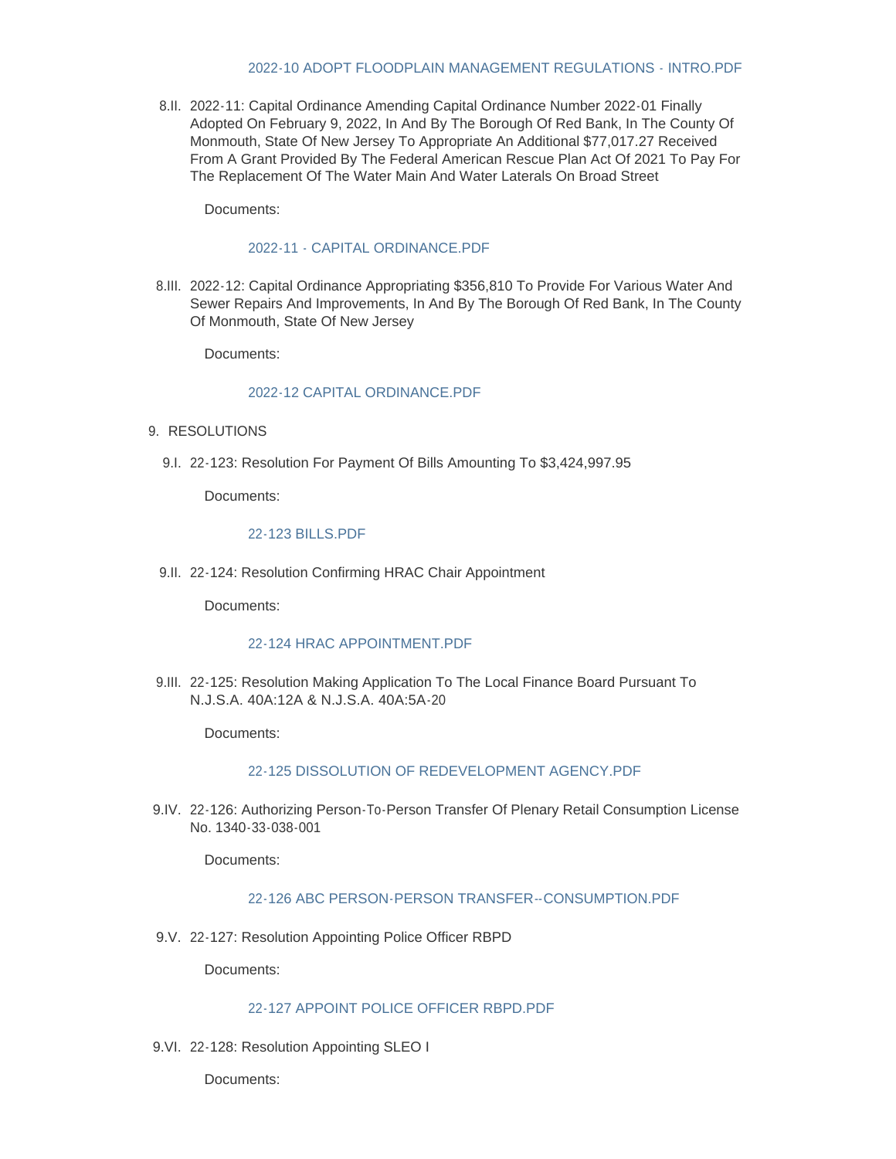### [2022-10 ADOPT FLOODPLAIN MANAGEMENT REGULATIONS - INTRO.PDF](http://www.redbanknj.org/AgendaCenter/ViewFile/Item/7589?fileID=20770)

8.II. 2022-11: Capital Ordinance Amending Capital Ordinance Number 2022-01 Finally Adopted On February 9, 2022, In And By The Borough Of Red Bank, In The County Of Monmouth, State Of New Jersey To Appropriate An Additional \$77,017.27 Received From A Grant Provided By The Federal American Rescue Plan Act Of 2021 To Pay For The Replacement Of The Water Main And Water Laterals On Broad Street

Documents:

### [2022-11 - CAPITAL ORDINANCE.PDF](http://www.redbanknj.org/AgendaCenter/ViewFile/Item/7604?fileID=20881)

8.III. 2022-12: Capital Ordinance Appropriating \$356,810 To Provide For Various Water And Sewer Repairs And Improvements, In And By The Borough Of Red Bank, In The County Of Monmouth, State Of New Jersey

Documents:

# [2022-12 CAPITAL ORDINANCE.PDF](http://www.redbanknj.org/AgendaCenter/ViewFile/Item/7605?fileID=20882)

- 9. RESOLUTIONS
	- 9.I. 22-123: Resolution For Payment Of Bills Amounting To \$3,424,997.95

Documents:

# [22-123 BILLS.PDF](http://www.redbanknj.org/AgendaCenter/ViewFile/Item/7590?fileID=20771)

9.II. 22-124: Resolution Confirming HRAC Chair Appointment

Documents:

# [22-124 HRAC APPOINTMENT.PDF](http://www.redbanknj.org/AgendaCenter/ViewFile/Item/7591?fileID=20772)

9.III. 22-125: Resolution Making Application To The Local Finance Board Pursuant To N.J.S.A. 40A:12A & N.J.S.A. 40A:5A-20

Documents:

# [22-125 DISSOLUTION OF REDEVELOPMENT AGENCY.PDF](http://www.redbanknj.org/AgendaCenter/ViewFile/Item/7592?fileID=20773)

9.IV. 22-126: Authorizing Person-To-Person Transfer Of Plenary Retail Consumption License No. 1340-33-038-001

Documents:

# [22-126 ABC PERSON-PERSON TRANSFER--CONSUMPTION.PDF](http://www.redbanknj.org/AgendaCenter/ViewFile/Item/7593?fileID=20774)

9.V. 22-127: Resolution Appointing Police Officer RBPD

Documents:

#### [22-127 APPOINT POLICE OFFICER RBPD.PDF](http://www.redbanknj.org/AgendaCenter/ViewFile/Item/7594?fileID=20775)

9.VI. 22-128: Resolution Appointing SLEO I

Documents: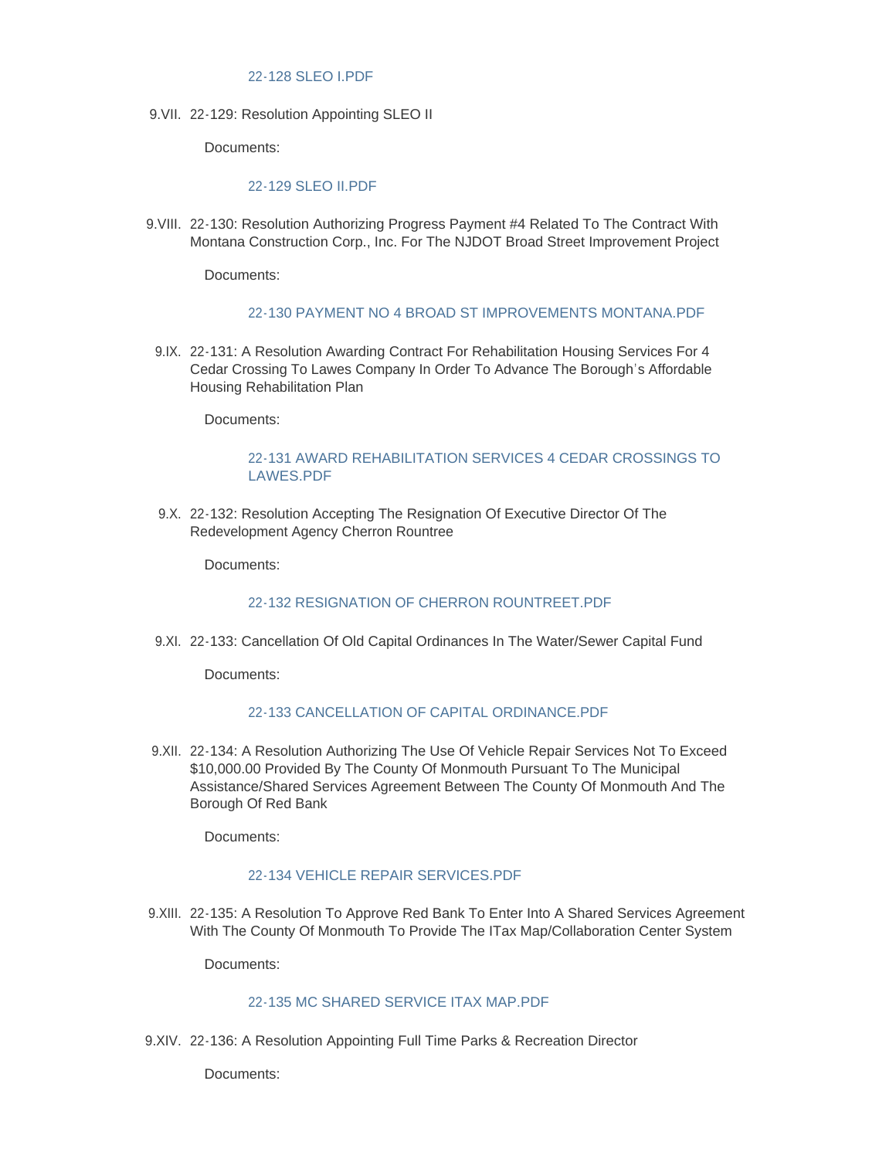# [22-128 SLEO I.PDF](http://www.redbanknj.org/AgendaCenter/ViewFile/Item/7595?fileID=20776)

9. VII. 22-129: Resolution Appointing SLEO II

Documents:

### [22-129 SLEO II.PDF](http://www.redbanknj.org/AgendaCenter/ViewFile/Item/7596?fileID=20777)

9. VIII. 22-130: Resolution Authorizing Progress Payment #4 Related To The Contract With Montana Construction Corp., Inc. For The NJDOT Broad Street Improvement Project

Documents:

#### [22-130 PAYMENT NO 4 BROAD ST IMPROVEMENTS MONTANA.PDF](http://www.redbanknj.org/AgendaCenter/ViewFile/Item/7597?fileID=20778)

9.IX. 22-131: A Resolution Awarding Contract For Rehabilitation Housing Services For 4 Cedar Crossing To Lawes Company In Order To Advance The Borough's Affordable Housing Rehabilitation Plan

Documents:

# [22-131 AWARD REHABILITATION SERVICES 4 CEDAR CROSSINGS TO](http://www.redbanknj.org/AgendaCenter/ViewFile/Item/7598?fileID=20779)  LAWES.PDF

9.X. 22-132: Resolution Accepting The Resignation Of Executive Director Of The Redevelopment Agency Cherron Rountree

Documents:

# [22-132 RESIGNATION OF CHERRON ROUNTREET.PDF](http://www.redbanknj.org/AgendaCenter/ViewFile/Item/7599?fileID=20780)

9.XI. 22-133: Cancellation Of Old Capital Ordinances In The Water/Sewer Capital Fund

Documents:

# [22-133 CANCELLATION OF CAPITAL ORDINANCE.PDF](http://www.redbanknj.org/AgendaCenter/ViewFile/Item/7600?fileID=20781)

9.XII. 22-134: A Resolution Authorizing The Use Of Vehicle Repair Services Not To Exceed \$10,000.00 Provided By The County Of Monmouth Pursuant To The Municipal Assistance/Shared Services Agreement Between The County Of Monmouth And The Borough Of Red Bank

Documents:

#### [22-134 VEHICLE REPAIR SERVICES.PDF](http://www.redbanknj.org/AgendaCenter/ViewFile/Item/7601?fileID=20782)

9.XIII. 22-135: A Resolution To Approve Red Bank To Enter Into A Shared Services Agreement With The County Of Monmouth To Provide The ITax Map/Collaboration Center System

Documents:

# [22-135 MC SHARED SERVICE ITAX MAP.PDF](http://www.redbanknj.org/AgendaCenter/ViewFile/Item/7602?fileID=20783)

9.XIV. 22-136: A Resolution Appointing Full Time Parks & Recreation Director

Documents: